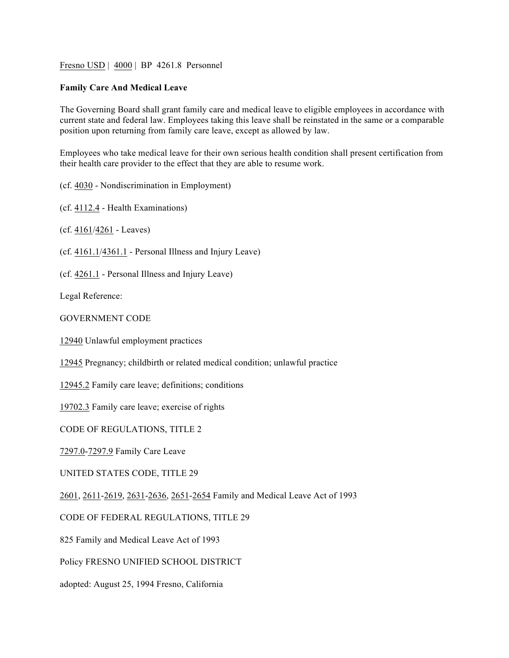Fresno USD | 4000 | BP 4261.8 Personnel

## **Family Care And Medical Leave**

The Governing Board shall grant family care and medical leave to eligible employees in accordance with current state and federal law. Employees taking this leave shall be reinstated in the same or a comparable position upon returning from family care leave, except as allowed by law.

Employees who take medical leave for their own serious health condition shall present certification from their health care provider to the effect that they are able to resume work.

(cf. 4030 - Nondiscrimination in Employment)

(cf. 4112.4 - Health Examinations)

(cf. 4161/4261 - Leaves)

(cf. 4161.1/4361.1 - Personal Illness and Injury Leave)

(cf. 4261.1 - Personal Illness and Injury Leave)

Legal Reference:

GOVERNMENT CODE

12940 Unlawful employment practices

12945 Pregnancy; childbirth or related medical condition; unlawful practice

12945.2 Family care leave; definitions; conditions

19702.3 Family care leave; exercise of rights

CODE OF REGULATIONS, TITLE 2

7297.0-7297.9 Family Care Leave

UNITED STATES CODE, TITLE 29

2601, 2611-2619, 2631-2636, 2651-2654 Family and Medical Leave Act of 1993

CODE OF FEDERAL REGULATIONS, TITLE 29

825 Family and Medical Leave Act of 1993

Policy FRESNO UNIFIED SCHOOL DISTRICT

adopted: August 25, 1994 Fresno, California